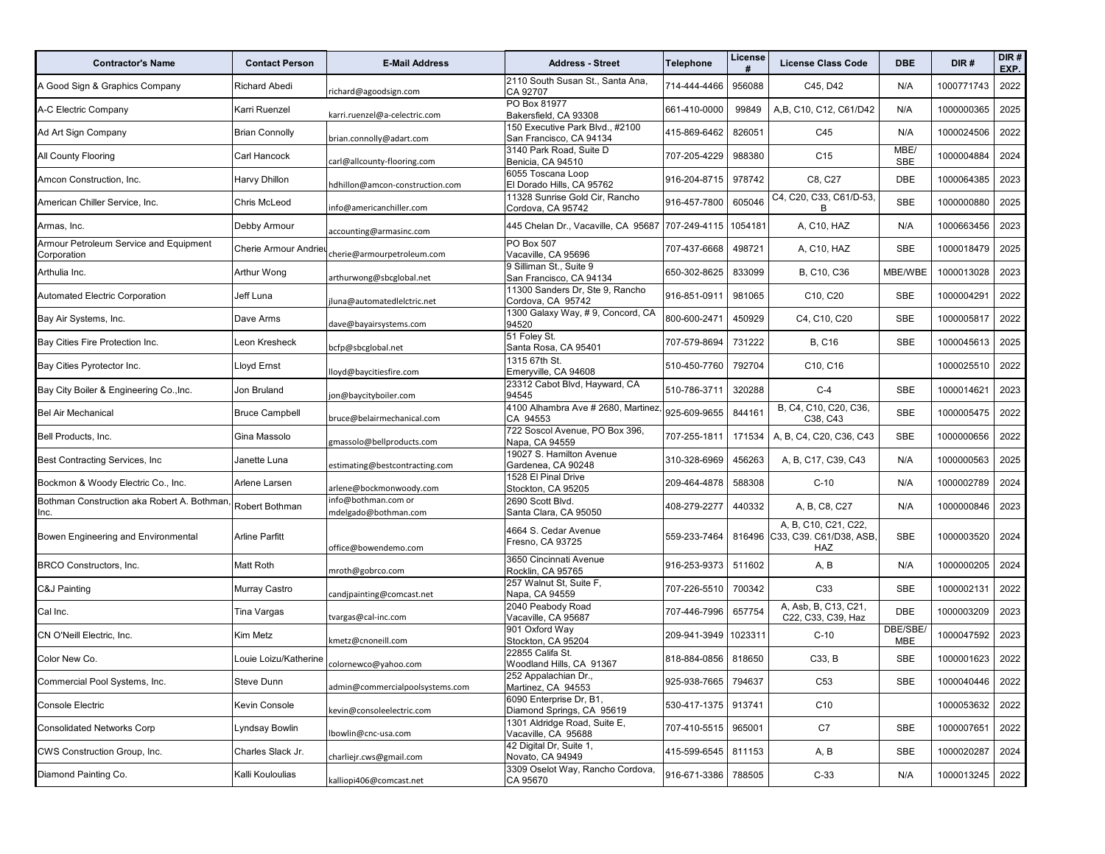| <b>Contractor's Name</b>                              | <b>Contact Person</b> | <b>E-Mail Address</b>                       | <b>Address - Street</b>                                    | <b>Telephone</b>    | License<br># | <b>License Class Code</b>                              | DBE                   | DIR#       | DIR#<br>EXP. |
|-------------------------------------------------------|-----------------------|---------------------------------------------|------------------------------------------------------------|---------------------|--------------|--------------------------------------------------------|-----------------------|------------|--------------|
| A Good Sign & Graphics Company                        | Richard Abedi         | richard@agoodsign.com                       | 2110 South Susan St., Santa Ana,<br>CA 92707               | 714-444-4466        | 956088       | C45, D42                                               | N/A                   | 1000771743 | 2022         |
| A-C Electric Company                                  | Karri Ruenzel         | karri.ruenzel@a-celectric.com               | PO Box 81977<br>Bakersfield, CA 93308                      | 661-410-0000        | 99849        | A, B, C10, C12, C61/D42                                | N/A                   | 1000000365 | 2025         |
| Ad Art Sign Company                                   | <b>Brian Connolly</b> | brian.connolly@adart.com                    | 150 Executive Park Blvd., #2100<br>San Francisco, CA 94134 | 415-869-6462        | 826051       | C45                                                    | N/A                   | 1000024506 | 2022         |
| <b>All County Flooring</b>                            | Carl Hancock          | carl@allcounty-flooring.com                 | 3140 Park Road, Suite D<br>Benicia, CA 94510               | 707-205-4229        | 988380       | C <sub>15</sub>                                        | MBE/<br>SBE           | 1000004884 | 2024         |
| Amcon Construction, Inc.                              | Harvy Dhillon         | hdhillon@amcon-construction.com             | 6055 Toscana Loop<br>El Dorado Hills, CA 95762             | 916-204-8715        | 978742       | C8, C27                                                | DBE                   | 1000064385 | 2023         |
| American Chiller Service, Inc.                        | Chris McLeod          | info@americanchiller.com                    | 11328 Sunrise Gold Cir, Rancho<br>Cordova, CA 95742        | 916-457-7800        | 605046       | C4, C20, C33, C61/D-53,<br>B                           | <b>SBE</b>            | 1000000880 | 2025         |
| Armas, Inc.                                           | Debby Armour          | accounting@armasinc.com                     | 445 Chelan Dr., Vacaville, CA 95687                        | 707-249-4115        | 1054181      | A, C10, HAZ                                            | N/A                   | 1000663456 | 2023         |
| Armour Petroleum Service and Equipment<br>Corporation | Cherie Armour Andrieu | cherie@armourpetroleum.com                  | PO Box 507<br>Vacaville, CA 95696                          | 707-437-6668        | 498721       | A, C10, HAZ                                            | SBE                   | 1000018479 | 2025         |
| Arthulia Inc.                                         | Arthur Wong           | arthurwong@sbcglobal.net                    | 9 Silliman St., Suite 9<br>San Francisco, CA 94134         | 650-302-8625        | 833099       | B, C10, C36                                            | MBE/WBE               | 1000013028 | 2023         |
| Automated Electric Corporation                        | Jeff Luna             | luna@automatedlelctric.net                  | 11300 Sanders Dr, Ste 9, Rancho<br>Cordova, CA 95742       | 916-851-0911        | 981065       | C10, C20                                               | SBE                   | 1000004291 | 2022         |
| Bay Air Systems, Inc.                                 | Dave Arms             | dave@bayairsystems.com                      | 1300 Galaxy Way, #9, Concord, CA<br>94520                  | 800-600-2471        | 450929       | C4, C10, C20                                           | <b>SBE</b>            | 1000005817 | 2022         |
| Bay Cities Fire Protection Inc.                       | Leon Kresheck         | bcfp@sbcglobal.net                          | 51 Foley St.<br>Santa Rosa, CA 95401                       | 707-579-8694        | 731222       | <b>B, C16</b>                                          | SBE                   | 1000045613 | 2025         |
| Bay Cities Pyrotector Inc.                            | Lloyd Ernst           | loyd@baycitiesfire.com                      | 1315 67th St.<br>Emeryville, CA 94608                      | 510-450-7760        | 792704       | C10, C16                                               |                       | 1000025510 | 2022         |
| Bay City Boiler & Engineering Co., Inc.               | Jon Bruland           | jon@baycityboiler.com                       | 23312 Cabot Blvd, Hayward, CA<br>94545                     | 510-786-3711        | 320288       | $C-4$                                                  | SBE                   | 1000014621 | 2023         |
| <b>Bel Air Mechanical</b>                             | <b>Bruce Campbell</b> | bruce@belairmechanical.com                  | 4100 Alhambra Ave # 2680, Martinez,<br>CA 94553            | 925-609-9655        | 844161       | B, C4, C10, C20, C36,<br>C38, C43                      | SBE                   | 1000005475 | 2022         |
| Bell Products, Inc.                                   | Gina Massolo          | gmassolo@bellproducts.com                   | 722 Soscol Avenue, PO Box 396,<br>Napa, CA 94559           | 707-255-1811        | 171534       | A, B, C4, C20, C36, C43                                | <b>SBE</b>            | 1000000656 | 2022         |
| Best Contracting Services, Inc.                       | Janette Luna          | estimating@bestcontracting.com              | 19027 S. Hamilton Avenue<br>Gardenea, CA 90248             | 310-328-6969        | 456263       | A, B, C17, C39, C43                                    | N/A                   | 1000000563 | 2025         |
| Bockmon & Woody Electric Co., Inc.                    | Arlene Larsen         | arlene@bockmonwoody.com                     | 1528 El Pinal Drive<br>Stockton, CA 95205                  | 209-464-4878        | 588308       | $C-10$                                                 | N/A                   | 1000002789 | 2024         |
| Bothman Construction aka Robert A. Bothman,<br>Inc.   | Robert Bothman        | info@bothman.com or<br>mdelgado@bothman.com | 2690 Scott Blvd.<br>Santa Clara, CA 95050                  | 408-279-2277        | 440332       | A, B, C8, C27                                          | N/A                   | 1000000846 | 2023         |
| Bowen Engineering and Environmental                   | Arline Parfitt        | office@bowendemo.com                        | 4664 S. Cedar Avenue<br>Fresno, CA 93725                   | 559-233-7464        | 816496       | A, B, C10, C21, C22,<br>C33, C39. C61/D38, ASB,<br>HAZ | SBE                   | 1000003520 | 2024         |
| BRCO Constructors, Inc.                               | Matt Roth             | mroth@gobrco.com                            | 3650 Cincinnati Avenue<br>Rocklin, CA 95765                | 916-253-9373        | 511602       | A, B                                                   | N/A                   | 1000000205 | 2024         |
| C&J Painting                                          | Murray Castro         | candjpainting@comcast.net                   | 257 Walnut St, Suite F,<br>Napa, CA 94559                  | 707-226-5510        | 700342       | C33                                                    | SBE                   | 1000002131 | 2022         |
| Cal Inc.                                              | Tina Vargas           | tvargas@cal-inc.com                         | 2040 Peabody Road<br>Vacaville, CA 95687                   | 707-446-7996        | 657754       | A, Asb, B, C13, C21,<br>C22, C33, C39, Haz             | <b>DBE</b>            | 1000003209 | 2023         |
| CN O'Neill Electric, Inc.                             | Kim Metz              | kmetz@cnoneill.com                          | 901 Oxford Way<br>Stockton, CA 95204                       | 209-941-3949        | 1023311      | $C-10$                                                 | DBE/SBE<br><b>MBE</b> | 1000047592 | 2023         |
| Color New Co.                                         | Louie Loizu/Katherine | colornewco@yahoo.com                        | 22855 Califa St.<br>Woodland Hills, CA 91367               | 818-884-0856        | 818650       | C33, B                                                 | SBE                   | 1000001623 | 2022         |
| Commercial Pool Systems, Inc.                         | Steve Dunn            | admin@commercialpoolsystems.com             | 252 Appalachian Dr.,<br>Martinez, CA 94553                 | 925-938-7665 794637 |              | C <sub>53</sub>                                        | SBE                   | 1000040446 | 2022         |
| <b>Console Electric</b>                               | Kevin Console         | kevin@consoleelectric.com                   | 6090 Enterprise Dr. B1.<br>Diamond Springs, CA 95619       | 530-417-1375        | 913741       | C10                                                    |                       | 1000053632 | 2022         |
| <b>Consolidated Networks Corp</b>                     | Lyndsay Bowlin        | lbowlin@cnc-usa.com                         | 1301 Aldridge Road, Suite E,<br>Vacaville, CA 95688        | 707-410-5515        | 965001       | C7                                                     | SBE                   | 1000007651 | 2022         |
| CWS Construction Group, Inc.                          | Charles Slack Jr.     | charliejr.cws@gmail.com                     | 42 Digital Dr, Suite 1,<br>Novato, CA 94949                | 415-599-6545        | 811153       | A, B                                                   | SBE                   | 1000020287 | 2024         |
| Diamond Painting Co.                                  | Kalli Kouloulias      | kalliopi406@comcast.net                     | 3309 Oselot Way, Rancho Cordova,<br>CA 95670               | 916-671-3386        | 788505       | $C-33$                                                 | N/A                   | 1000013245 | 2022         |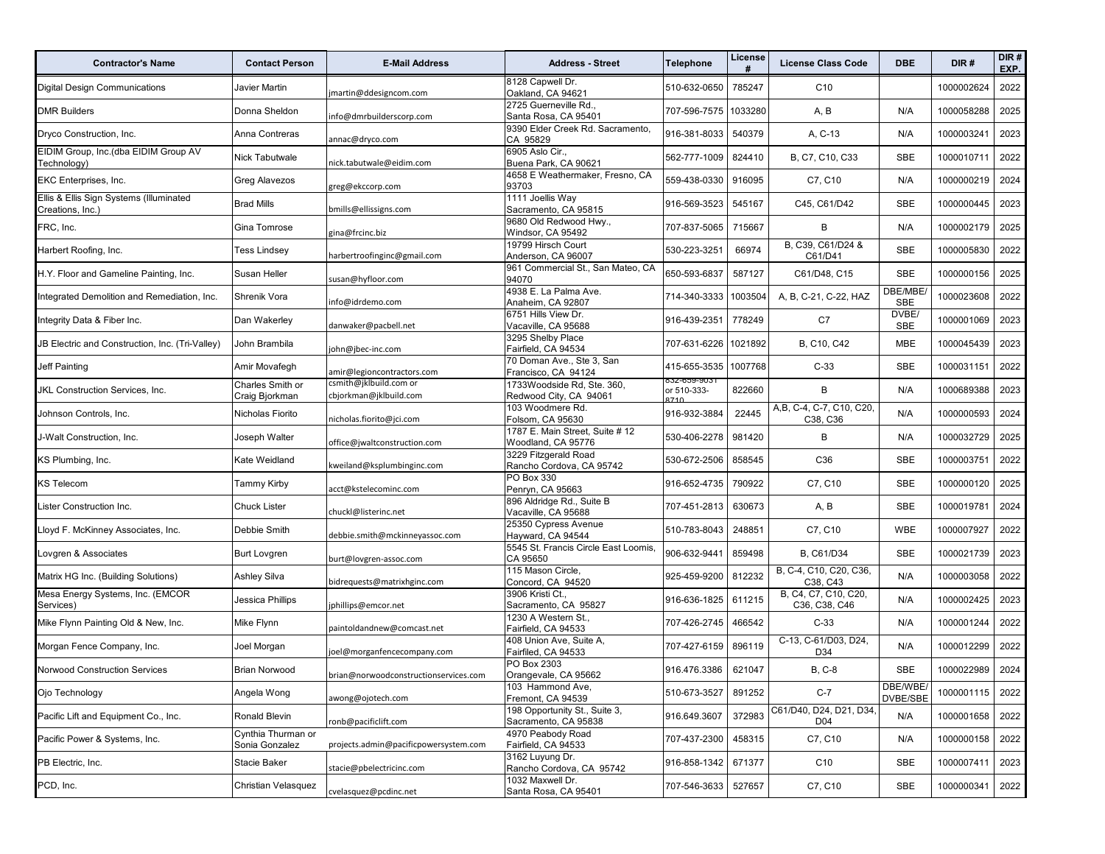| <b>Contractor's Name</b>                                    | <b>Contact Person</b>                | <b>E-Mail Address</b>                            | <b>Address - Street</b>                               | <b>Telephone</b>    | License | <b>License Class Code</b>             | <b>DBE</b>           | DIR#            | DIR#<br>EXP. |
|-------------------------------------------------------------|--------------------------------------|--------------------------------------------------|-------------------------------------------------------|---------------------|---------|---------------------------------------|----------------------|-----------------|--------------|
| <b>Digital Design Communications</b>                        | Javier Martin                        | martin@ddesigncom.com                            | 8128 Capwell Dr.<br>Oakland, CA 94621                 | 510-632-0650        | 785247  | C <sub>10</sub>                       |                      | 1000002624      | 2022         |
| <b>DMR Builders</b>                                         | Donna Sheldon                        | nfo@dmrbuilderscorp.com                          | 2725 Guerneville Rd.,<br>Santa Rosa, CA 95401         | 707-596-7575        | 1033280 | A, B                                  | N/A                  | 1000058288      | 2025         |
| Dryco Construction, Inc.                                    | Anna Contreras                       | annac@dryco.com                                  | 9390 Elder Creek Rd. Sacramento,<br>CA 95829          | 916-381-8033        | 540379  | A, C-13                               | N/A                  | 1000003241      | 2023         |
| EIDIM Group, Inc.(dba EIDIM Group AV<br>Technology)         | Nick Tabutwale                       | nick.tabutwale@eidim.com                         | 6905 Aslo Cir.,<br>Buena Park, CA 90621               | 562-777-1009        | 824410  | B, C7, C10, C33                       | SBE                  | 1000010711      | 2022         |
| EKC Enterprises, Inc.                                       | Greg Alavezos                        | greg@ekccorp.com                                 | 4658 E Weathermaker, Fresno, CA<br>93703              | 559-438-0330        | 916095  | C7, C10                               | N/A                  | 1000000219      | 2024         |
| Ellis & Ellis Sign Systems (Illuminated<br>Creations, Inc.) | <b>Brad Mills</b>                    | bmills@ellissigns.com                            | 1111 Joellis Way<br>Sacramento, CA 95815              | 916-569-3523        | 545167  | C45. C61/D42                          | SBE                  | 1000000445      | 2023         |
| FRC, Inc.                                                   | Gina Tomrose                         | gina@frcinc.biz                                  | 9680 Old Redwood Hwy.,<br>Windsor, CA 95492           | 707-837-5065        | 715667  | B                                     | N/A                  | 1000002179      | 2025         |
| Harbert Roofing, Inc.                                       | Tess Lindsey                         | harbertroofinginc@gmail.com                      | 19799 Hirsch Court<br>Anderson, CA 96007              | 530-223-3251        | 66974   | B, C39, C61/D24 &<br>C61/D41          | <b>SBE</b>           | 1000005830      | 2022         |
| H.Y. Floor and Gameline Painting, Inc.                      | Susan Heller                         | susan@hyfloor.com                                | 961 Commercial St., San Mateo, CA<br>94070            | 650-593-6837        | 587127  | C61/D48, C15                          | SBE                  | 1000000156      | 2025         |
| Integrated Demolition and Remediation, Inc.                 | Shrenik Vora                         | nfo@idrdemo.com                                  | 4938 E. La Palma Ave.<br>Anaheim, CA 92807            | 714-340-3333        | 1003504 | A, B, C-21, C-22, HAZ                 | DBE/MBE/<br>SBE      | 1000023608      | 2022         |
| Integrity Data & Fiber Inc.                                 | Dan Wakerley                         | danwaker@pacbell.net                             | 6751 Hills View Dr.<br>Vacaville, CA 95688            | 916-439-2351        | 778249  | C7                                    | DVBE/<br>SBE         | 1000001069      | 2023         |
| JB Electric and Construction, Inc. (Tri-Valley)             | John Brambila                        | john@jbec-inc.com                                | 3295 Shelby Place<br>Fairfield, CA 94534              | 707-631-6226        | 1021892 | B, C10, C42                           | <b>MBE</b>           | 1000045439      | 2023         |
| <b>Jeff Painting</b>                                        | Amir Movafegh                        | amir@legioncontractors.com                       | 70 Doman Ave., Ste 3, San<br>Francisco, CA 94124      | 415-655-3535        | 1007768 | $C-33$                                | SBE                  | 1000031151      | 2022         |
| JKL Construction Services, Inc.                             | Charles Smith or<br>Craig Bjorkman   | csmith@jklbuild.com or<br>cbjorkman@jklbuild.com | 1733Woodside Rd, Ste. 360,<br>Redwood City, CA 94061  | or 510-333-         | 822660  | B                                     | N/A                  | 1000689388      | 2023         |
| Johnson Controls, Inc.                                      | Nicholas Fiorito                     | nicholas.fiorito@jci.com                         | 103 Woodmere Rd.<br>Folsom, CA 95630                  | 916-932-3884        | 22445   | A, B, C-4, C-7, C10, C20,<br>C38, C36 | N/A                  | 1000000593      | 2024         |
| J-Walt Construction, Inc.                                   | Joseph Walter                        | office@jwaltconstruction.com                     | 1787 E. Main Street, Suite # 12<br>Woodland, CA 95776 | 530-406-2278        | 981420  | B                                     | N/A                  | 1000032729      | 2025         |
| KS Plumbing, Inc.                                           | Kate Weidland                        | kweiland@ksplumbinginc.com                       | 3229 Fitzgerald Road<br>Rancho Cordova, CA 95742      | 530-672-2506        | 858545  | C36                                   | SBE                  | 1000003751      | 2022         |
| <b>KS Telecom</b>                                           | Tammy Kirby                          | acct@kstelecominc.com                            | PO Box 330<br>Penryn, CA 95663                        | 916-652-4735        | 790922  | C7, C10                               | SBE                  | 1000000120      | 2025         |
| Lister Construction Inc.                                    | <b>Chuck Lister</b>                  | chuckl@listerinc.net                             | 896 Aldridge Rd., Suite B<br>Vacaville, CA 95688      | 707-451-2813        | 630673  | A, B                                  | SBE                  | 1000019781      | 2024         |
| Lloyd F. McKinney Associates, Inc.                          | Debbie Smith                         | debbie.smith@mckinneyassoc.com                   | 25350 Cypress Avenue<br>Hayward, CA 94544             | 510-783-8043        | 248851  | C7, C10                               | <b>WBE</b>           | 1000007927      | 2022         |
| Lovgren & Associates                                        | <b>Burt Lovgren</b>                  | burt@lovgren-assoc.com                           | 5545 St. Francis Circle East Loomis,<br>CA 95650      | 906-632-9441        | 859498  | B, C61/D34                            | <b>SBE</b>           | 1000021739      | 2023         |
| Matrix HG Inc. (Building Solutions)                         | Ashley Silva                         | bidrequests@matrixhginc.com                      | 115 Mason Circle,<br>Concord, CA 94520                | 925-459-9200        | 812232  | B, C-4, C10, C20, C36,<br>C38, C43    | N/A                  | 1000003058      | 2022         |
| Mesa Energy Systems, Inc. (EMCOR<br>Services)               | Jessica Phillips                     | phillips@emcor.net                               | 3906 Kristi Ct.,<br>Sacramento, CA 95827              | 916-636-1825        | 611215  | B, C4, C7, C10, C20,<br>C36, C38, C46 | N/A                  | 1000002425      | 2023         |
| Mike Flynn Painting Old & New, Inc.                         | Mike Flynn                           | paintoldandnew@comcast.net                       | 1230 A Western St.,<br>Fairfield, CA 94533            | 707-426-2745        | 466542  | $C-33$                                | N/A                  | 1000001244      | 2022         |
| Morgan Fence Company, Inc.                                  | Joel Morgan                          | oel@morganfencecompany.com                       | 408 Union Ave. Suite A.<br>Fairfiled, CA 94533        | 707-427-6159        | 896119  | C-13, C-61/D03, D24,<br>D34           | N/A                  | 1000012299      | 2022         |
| <b>Norwood Construction Services</b>                        | <b>Brian Norwood</b>                 | brian@norwoodconstructionservices.com            | PO Box 2303<br>Orangevale, CA 95662                   | 916.476.3386 621047 |         | <b>B, C-8</b>                         | SBE                  | 1000022989 2024 |              |
| Ojo Technology                                              | Angela Wong                          | awong@ojotech.com                                | 103 Hammond Ave,<br>Fremont, CA 94539                 | 510-673-3527        | 891252  | $C-7$                                 | DBE/WBE/<br>DVBE/SBE | 1000001115      | 2022         |
| Pacific Lift and Equipment Co., Inc.                        | Ronald Blevin                        | ronb@pacificlift.com                             | 198 Opportunity St., Suite 3,<br>Sacramento, CA 95838 | 916.649.3607        | 372983  | C61/D40, D24, D21, D34<br>D04         | N/A                  | 1000001658      | 2022         |
| Pacific Power & Systems, Inc.                               | Cynthia Thurman or<br>Sonia Gonzalez | projects.admin@pacificpowersystem.com            | 4970 Peabody Road<br>Fairfield, CA 94533              | 707-437-2300        | 458315  | C7, C10                               | N/A                  | 1000000158      | 2022         |
| PB Electric, Inc.                                           | <b>Stacie Baker</b>                  | stacie@pbelectricinc.com                         | 3162 Luyung Dr.<br>Rancho Cordova, CA 95742           | 916-858-1342        | 671377  | C <sub>10</sub>                       | SBE                  | 1000007411      | 2023         |
| PCD, Inc.                                                   | Christian Velasquez                  | cvelasquez@pcdinc.net                            | 1032 Maxwell Dr.<br>Santa Rosa, CA 95401              | 707-546-3633        | 527657  | C7, C10                               | SBE                  | 1000000341      | 2022         |